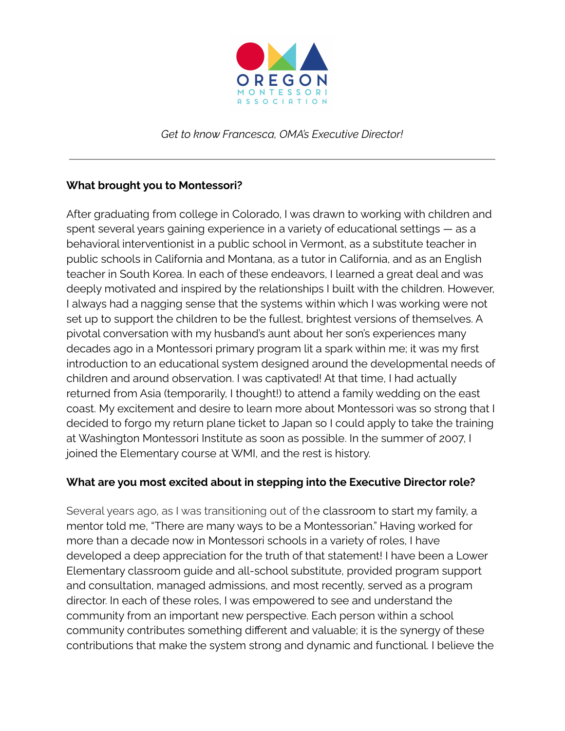

*Get to know Francesca, OMA's Executive Director!*

## **What brought you to Montessori?**

After graduating from college in Colorado, I was drawn to working with children and spent several years gaining experience in a variety of educational settings — as a behavioral interventionist in a public school in Vermont, as a substitute teacher in public schools in California and Montana, as a tutor in California, and as an English teacher in South Korea. In each of these endeavors, I learned a great deal and was deeply motivated and inspired by the relationships I built with the children. However, I always had a nagging sense that the systems within which I was working were not set up to support the children to be the fullest, brightest versions of themselves. A pivotal conversation with my husband's aunt about her son's experiences many decades ago in a Montessori primary program lit a spark within me; it was my first introduction to an educational system designed around the developmental needs of children and around observation. I was captivated! At that time, I had actually returned from Asia (temporarily, I thought!) to attend a family wedding on the east coast. My excitement and desire to learn more about Montessori was so strong that I decided to forgo my return plane ticket to Japan so I could apply to take the training at Washington Montessori Institute as soon as possible. In the summer of 2007, I joined the Elementary course at WMI, and the rest is history.

## **What are you most excited about in stepping into the Executive Director role?**

Several years ago, as I was transitioning out of the classroom to start my family, a mentor told me, "There are many ways to be a Montessorian." Having worked for more than a decade now in Montessori schools in a variety of roles, I have developed a deep appreciation for the truth of that statement! I have been a Lower Elementary classroom guide and all-school substitute, provided program support and consultation, managed admissions, and most recently, served as a program director. In each of these roles, I was empowered to see and understand the community from an important new perspective. Each person within a school community contributes something different and valuable; it is the synergy of these contributions that make the system strong and dynamic and functional. I believe the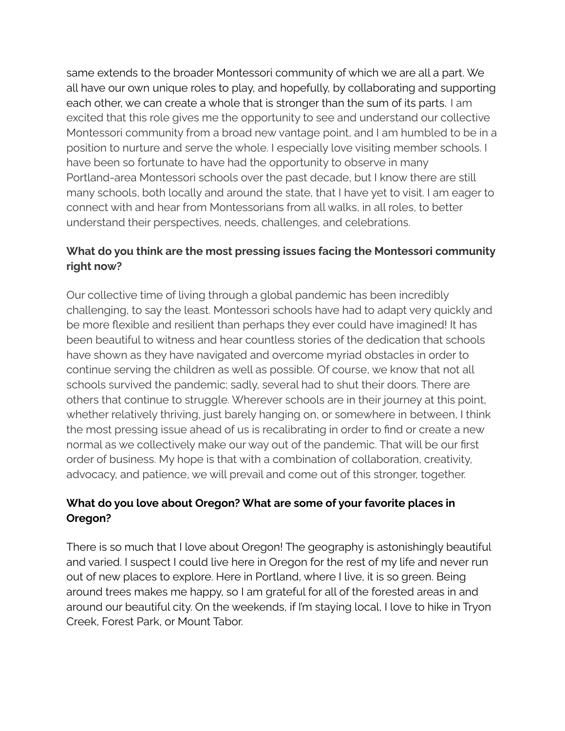same extends to the broader Montessori community of which we are all a part. We all have our own unique roles to play, and hopefully, by collaborating and supporting each other, we can create a whole that is stronger than the sum of its parts. I am excited that this role gives me the opportunity to see and understand our collective Montessori community from a broad new vantage point, and I am humbled to be in a position to nurture and serve the whole. I especially love visiting member schools. I have been so fortunate to have had the opportunity to observe in many Portland-area Montessori schools over the past decade, but I know there are still many schools, both locally and around the state, that I have yet to visit. I am eager to connect with and hear from Montessorians from all walks, in all roles, to better understand their perspectives, needs, challenges, and celebrations.

## **What do you think are the most pressing issues facing the Montessori community right now?**

Our collective time of living through a global pandemic has been incredibly challenging, to say the least. Montessori schools have had to adapt very quickly and be more flexible and resilient than perhaps they ever could have imagined! It has been beautiful to witness and hear countless stories of the dedication that schools have shown as they have navigated and overcome myriad obstacles in order to continue serving the children as well as possible. Of course, we know that not all schools survived the pandemic; sadly, several had to shut their doors. There are others that continue to struggle. Wherever schools are in their journey at this point, whether relatively thriving, just barely hanging on, or somewhere in between, I think the most pressing issue ahead of us is recalibrating in order to find or create a new normal as we collectively make our way out of the pandemic. That will be our first order of business. My hope is that with a combination of collaboration, creativity, advocacy, and patience, we will prevail and come out of this stronger, together.

## **What do you love about Oregon? What are some of your favorite places in Oregon?**

There is so much that I love about Oregon! The geography is astonishingly beautiful and varied. I suspect I could live here in Oregon for the rest of my life and never run out of new places to explore. Here in Portland, where I live, it is so green. Being around trees makes me happy, so I am grateful for all of the forested areas in and around our beautiful city. On the weekends, if I'm staying local, I love to hike in Tryon Creek, Forest Park, or Mount Tabor.